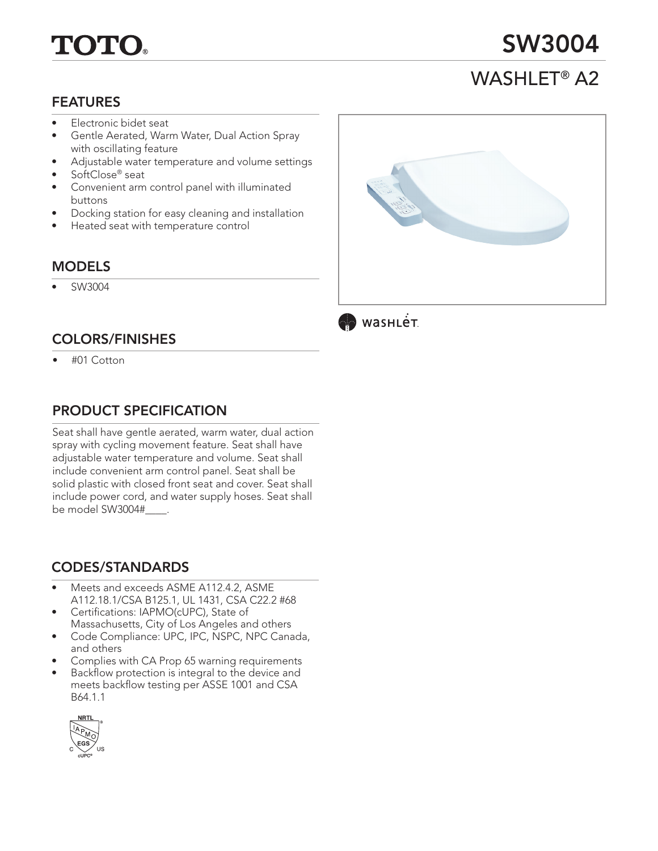# TOTO

## SW3004

## WASHLET® A2

#### FEATURES

- Electronic bidet seat
- Gentle Aerated, Warm Water, Dual Action Spray with oscillating feature
- Adjustable water temperature and volume settings
- SoftClose® seat
- Convenient arm control panel with illuminated buttons
- Docking station for easy cleaning and installation
- Heated seat with temperature control

#### MODELS

• SW3004

## COLORS/FINISHES

• #01 Cotton

## PRODUCT SPECIFICATION

Seat shall have gentle aerated, warm water, dual action spray with cycling movement feature. Seat shall have adjustable water temperature and volume. Seat shall include convenient arm control panel. Seat shall be solid plastic with closed front seat and cover. Seat shall include power cord, and water supply hoses. Seat shall be model SW3004#\_\_\_\_.

## CODES/STANDARDS

- Meets and exceeds ASME A112.4.2, ASME A112.18.1/CSA B125.1, UL 1431, CSA C22.2 #68
- Certifications: IAPMO(cUPC), State of Massachusetts, City of Los Angeles and others
- Code Compliance: UPC, IPC, NSPC, NPC Canada, and others
- Complies with CA Prop 65 warning requirements
- Backflow protection is integral to the device and meets backflow testing per ASSE 1001 and CSA B64.1.1